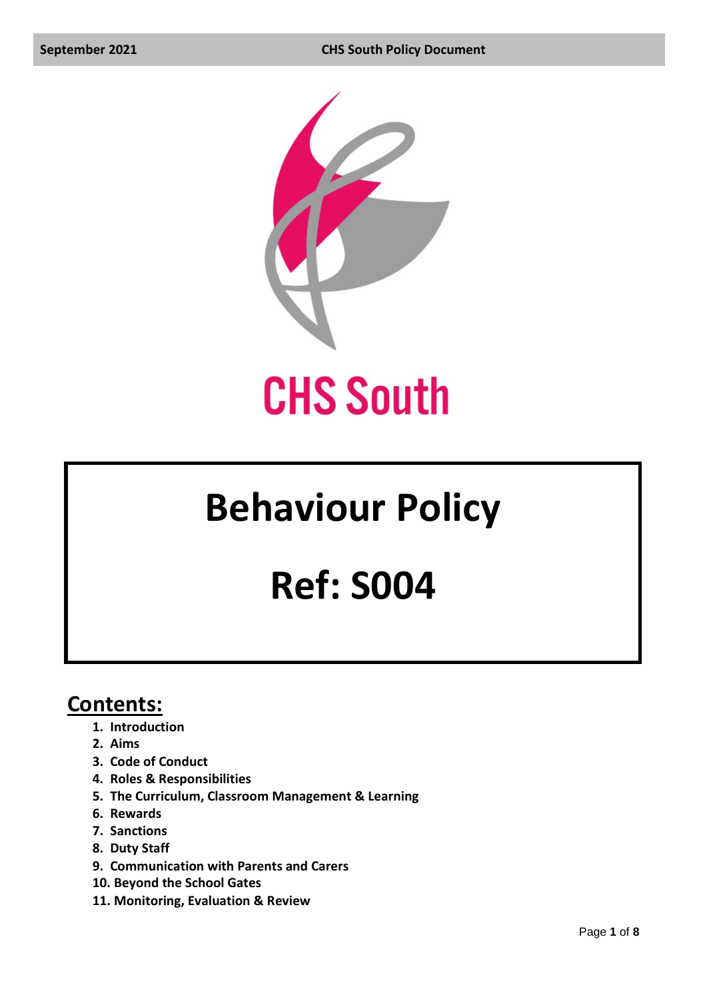

# **Behaviour Policy**

## **Ref: S004**

### **Contents:**

- **1. Introduction**
- **2. Aims**
- **3. Code of Conduct**
- **4. Roles & Responsibilities**
- **5. The Curriculum, Classroom Management & Learning**
- **6. Rewards**
- **7. Sanctions**
- **8. Duty Staff**
- **9. Communication with Parents and Carers**
- **10. Beyond the School Gates**
- **11. Monitoring, Evaluation & Review**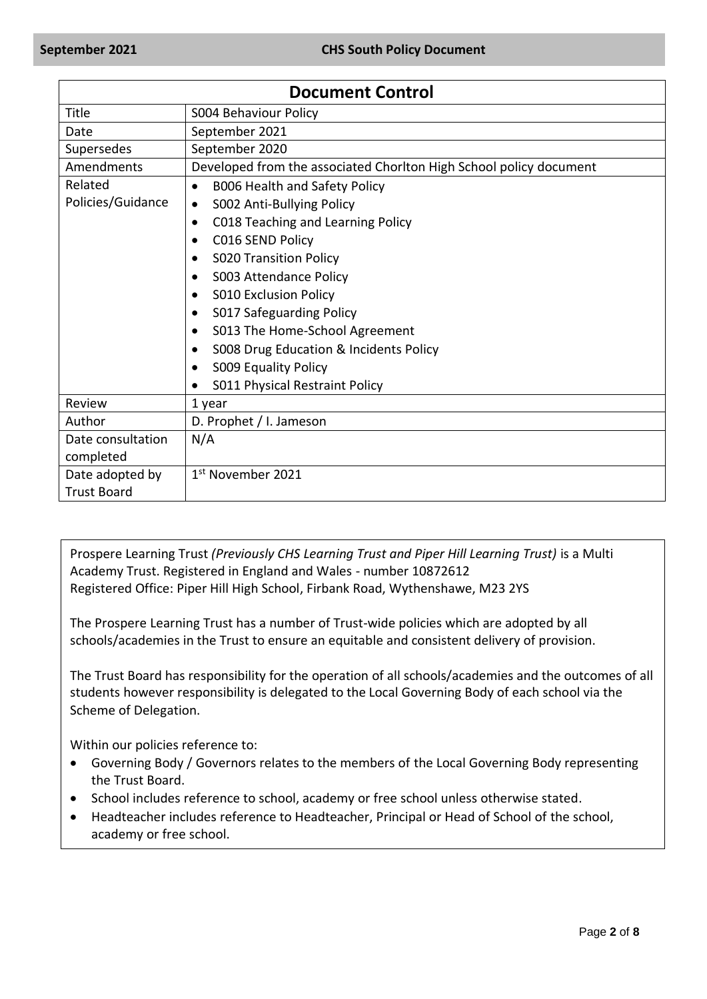| <b>Document Control</b> |                                                                    |  |  |
|-------------------------|--------------------------------------------------------------------|--|--|
| Title                   | <b>S004 Behaviour Policy</b>                                       |  |  |
| Date                    | September 2021                                                     |  |  |
| Supersedes              | September 2020                                                     |  |  |
| Amendments              | Developed from the associated Chorlton High School policy document |  |  |
| Related                 | B006 Health and Safety Policy<br>$\bullet$                         |  |  |
| Policies/Guidance       | S002 Anti-Bullying Policy<br>$\bullet$                             |  |  |
|                         | C018 Teaching and Learning Policy<br>٠                             |  |  |
|                         | C016 SEND Policy                                                   |  |  |
|                         | <b>S020 Transition Policy</b><br>$\bullet$                         |  |  |
|                         | S003 Attendance Policy                                             |  |  |
|                         | <b>S010 Exclusion Policy</b>                                       |  |  |
|                         | S017 Safeguarding Policy                                           |  |  |
|                         | S013 The Home-School Agreement                                     |  |  |
|                         | S008 Drug Education & Incidents Policy<br>$\bullet$                |  |  |
|                         | S009 Equality Policy                                               |  |  |
|                         | S011 Physical Restraint Policy                                     |  |  |
| Review                  | 1 year                                                             |  |  |
| Author                  | D. Prophet / I. Jameson                                            |  |  |
| Date consultation       | N/A                                                                |  |  |
| completed               |                                                                    |  |  |
| Date adopted by         | 1 <sup>st</sup> November 2021                                      |  |  |
| <b>Trust Board</b>      |                                                                    |  |  |

Prospere Learning Trust *(Previously CHS Learning Trust and Piper Hill Learning Trust)* is a Multi Academy Trust. Registered in England and Wales - number 10872612 Registered Office: Piper Hill High School, Firbank Road, Wythenshawe, M23 2YS

The Prospere Learning Trust has a number of Trust-wide policies which are adopted by all schools/academies in the Trust to ensure an equitable and consistent delivery of provision.

The Trust Board has responsibility for the operation of all schools/academies and the outcomes of all students however responsibility is delegated to the Local Governing Body of each school via the Scheme of Delegation.

Within our policies reference to:

- Governing Body / Governors relates to the members of the Local Governing Body representing the Trust Board.
- School includes reference to school, academy or free school unless otherwise stated.
- Headteacher includes reference to Headteacher, Principal or Head of School of the school, academy or free school.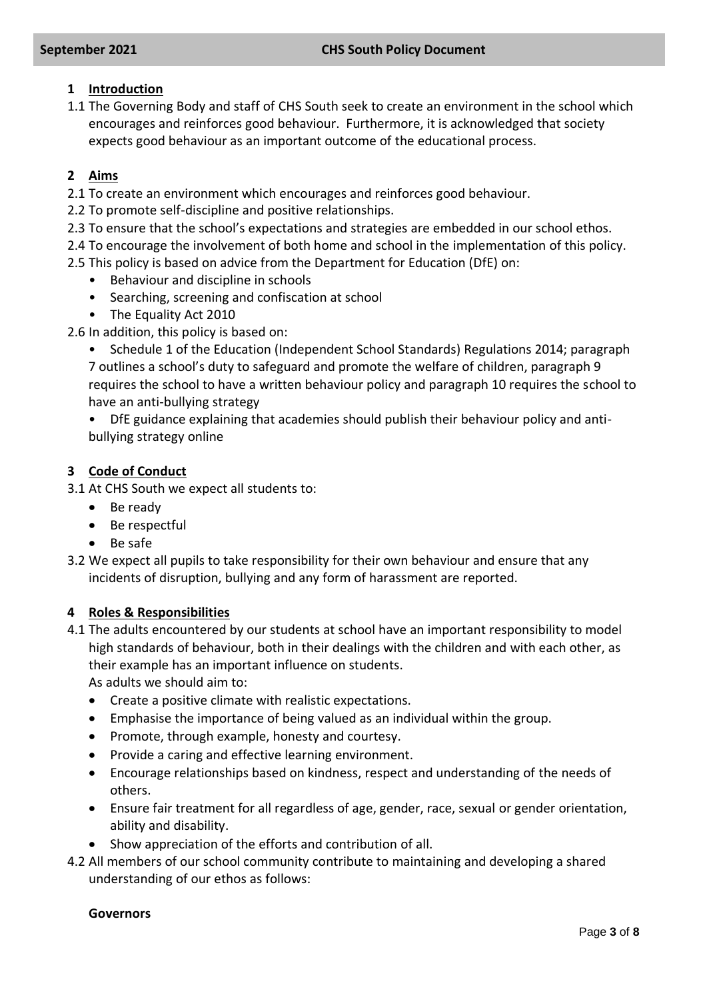#### **1 Introduction**

1.1 The Governing Body and staff of CHS South seek to create an environment in the school which encourages and reinforces good behaviour. Furthermore, it is acknowledged that society expects good behaviour as an important outcome of the educational process.

#### **2 Aims**

2.1 To create an environment which encourages and reinforces good behaviour.

- 2.2 To promote self-discipline and positive relationships.
- 2.3 To ensure that the school's expectations and strategies are embedded in our school ethos.

2.4 To encourage the involvement of both home and school in the implementation of this policy.

2.5 This policy is based on advice from the Department for Education (DfE) on:

- Behaviour and discipline in schools
- Searching, screening and confiscation at school
- The Equality Act 2010

2.6 In addition, this policy is based on:

• Schedule 1 of the Education (Independent School Standards) Regulations 2014; paragraph

7 outlines a school's duty to safeguard and promote the welfare of children, paragraph 9 requires the school to have a written behaviour policy and paragraph 10 requires the school to have an anti-bullying strategy

• DfE guidance explaining that academies should publish their behaviour policy and antibullying strategy online

#### **3 Code of Conduct**

3.1 At CHS South we expect all students to:

- Be ready
- Be respectful
- Be safe
- 3.2 We expect all pupils to take responsibility for their own behaviour and ensure that any incidents of disruption, bullying and any form of harassment are reported.

#### **4 Roles & Responsibilities**

4.1 The adults encountered by our students at school have an important responsibility to model high standards of behaviour, both in their dealings with the children and with each other, as their example has an important influence on students.

As adults we should aim to:

- Create a positive climate with realistic expectations.
- Emphasise the importance of being valued as an individual within the group.
- Promote, through example, honesty and courtesy.
- Provide a caring and effective learning environment.
- Encourage relationships based on kindness, respect and understanding of the needs of others.
- Ensure fair treatment for all regardless of age, gender, race, sexual or gender orientation, ability and disability.
- Show appreciation of the efforts and contribution of all.
- 4.2 All members of our school community contribute to maintaining and developing a shared understanding of our ethos as follows:

#### **Governors**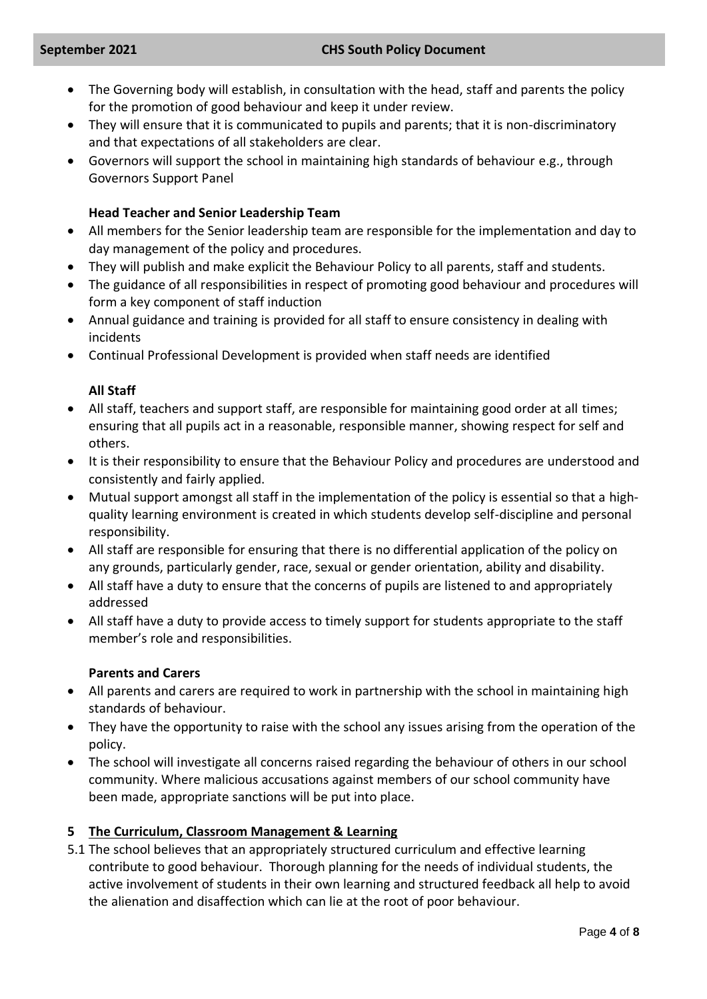- The Governing body will establish, in consultation with the head, staff and parents the policy for the promotion of good behaviour and keep it under review.
- They will ensure that it is communicated to pupils and parents; that it is non-discriminatory and that expectations of all stakeholders are clear.
- Governors will support the school in maintaining high standards of behaviour e.g., through Governors Support Panel

#### **Head Teacher and Senior Leadership Team**

- All members for the Senior leadership team are responsible for the implementation and day to day management of the policy and procedures.
- They will publish and make explicit the Behaviour Policy to all parents, staff and students.
- The guidance of all responsibilities in respect of promoting good behaviour and procedures will form a key component of staff induction
- Annual guidance and training is provided for all staff to ensure consistency in dealing with incidents
- Continual Professional Development is provided when staff needs are identified

#### **All Staff**

- All staff, teachers and support staff, are responsible for maintaining good order at all times; ensuring that all pupils act in a reasonable, responsible manner, showing respect for self and others.
- It is their responsibility to ensure that the Behaviour Policy and procedures are understood and consistently and fairly applied.
- Mutual support amongst all staff in the implementation of the policy is essential so that a highquality learning environment is created in which students develop self-discipline and personal responsibility.
- All staff are responsible for ensuring that there is no differential application of the policy on any grounds, particularly gender, race, sexual or gender orientation, ability and disability.
- All staff have a duty to ensure that the concerns of pupils are listened to and appropriately addressed
- All staff have a duty to provide access to timely support for students appropriate to the staff member's role and responsibilities.

#### **Parents and Carers**

- All parents and carers are required to work in partnership with the school in maintaining high standards of behaviour.
- They have the opportunity to raise with the school any issues arising from the operation of the policy.
- The school will investigate all concerns raised regarding the behaviour of others in our school community. Where malicious accusations against members of our school community have been made, appropriate sanctions will be put into place.

#### **5 The Curriculum, Classroom Management & Learning**

5.1 The school believes that an appropriately structured curriculum and effective learning contribute to good behaviour. Thorough planning for the needs of individual students, the active involvement of students in their own learning and structured feedback all help to avoid the alienation and disaffection which can lie at the root of poor behaviour.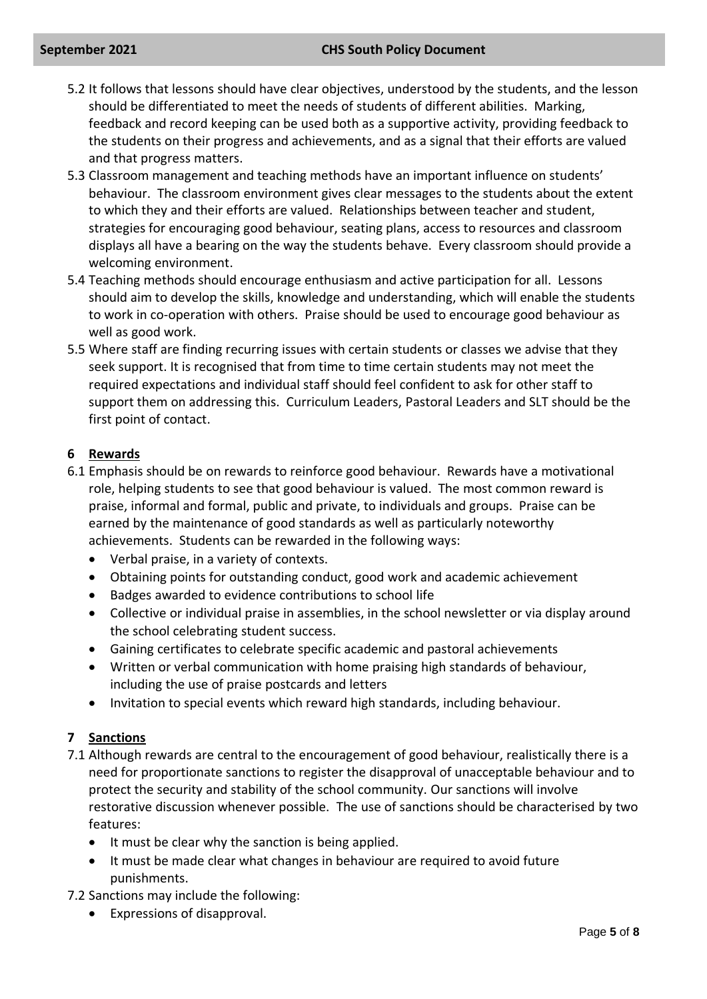#### **September 2021 CHS South Policy Document**

- 5.2 It follows that lessons should have clear objectives, understood by the students, and the lesson should be differentiated to meet the needs of students of different abilities. Marking, feedback and record keeping can be used both as a supportive activity, providing feedback to the students on their progress and achievements, and as a signal that their efforts are valued and that progress matters.
- 5.3 Classroom management and teaching methods have an important influence on students' behaviour. The classroom environment gives clear messages to the students about the extent to which they and their efforts are valued. Relationships between teacher and student, strategies for encouraging good behaviour, seating plans, access to resources and classroom displays all have a bearing on the way the students behave. Every classroom should provide a welcoming environment.
- 5.4 Teaching methods should encourage enthusiasm and active participation for all. Lessons should aim to develop the skills, knowledge and understanding, which will enable the students to work in co-operation with others. Praise should be used to encourage good behaviour as well as good work.
- 5.5 Where staff are finding recurring issues with certain students or classes we advise that they seek support. It is recognised that from time to time certain students may not meet the required expectations and individual staff should feel confident to ask for other staff to support them on addressing this. Curriculum Leaders, Pastoral Leaders and SLT should be the first point of contact.

#### **6 Rewards**

- 6.1 Emphasis should be on rewards to reinforce good behaviour. Rewards have a motivational role, helping students to see that good behaviour is valued. The most common reward is praise, informal and formal, public and private, to individuals and groups. Praise can be earned by the maintenance of good standards as well as particularly noteworthy achievements. Students can be rewarded in the following ways:
	- Verbal praise, in a variety of contexts.
	- Obtaining points for outstanding conduct, good work and academic achievement
	- Badges awarded to evidence contributions to school life
	- Collective or individual praise in assemblies, in the school newsletter or via display around the school celebrating student success.
	- Gaining certificates to celebrate specific academic and pastoral achievements
	- Written or verbal communication with home praising high standards of behaviour, including the use of praise postcards and letters
	- Invitation to special events which reward high standards, including behaviour.

#### **7 Sanctions**

- 7.1 Although rewards are central to the encouragement of good behaviour, realistically there is a need for proportionate sanctions to register the disapproval of unacceptable behaviour and to protect the security and stability of the school community. Our sanctions will involve restorative discussion whenever possible. The use of sanctions should be characterised by two features:
	- It must be clear why the sanction is being applied.
	- It must be made clear what changes in behaviour are required to avoid future punishments.
- 7.2 Sanctions may include the following:
	- Expressions of disapproval.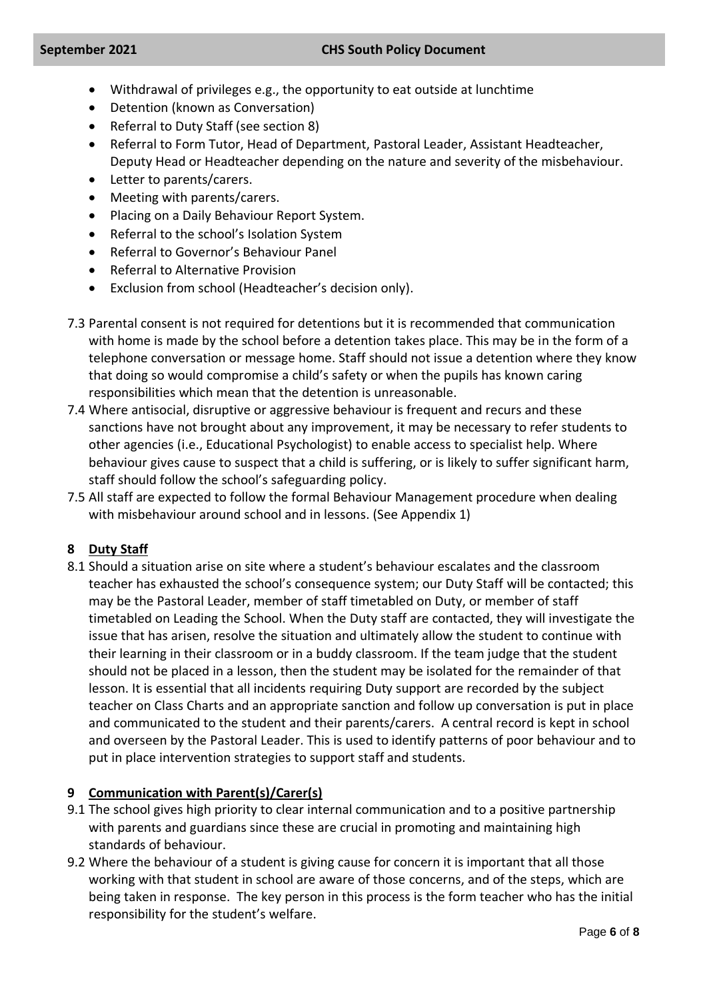- Withdrawal of privileges e.g., the opportunity to eat outside at lunchtime
- Detention (known as Conversation)
- Referral to Duty Staff (see section 8)
- Referral to Form Tutor, Head of Department, Pastoral Leader, Assistant Headteacher, Deputy Head or Headteacher depending on the nature and severity of the misbehaviour.
- Letter to parents/carers.
- Meeting with parents/carers.
- Placing on a Daily Behaviour Report System.
- Referral to the school's Isolation System
- Referral to Governor's Behaviour Panel
- Referral to Alternative Provision
- Exclusion from school (Headteacher's decision only).
- 7.3 Parental consent is not required for detentions but it is recommended that communication with home is made by the school before a detention takes place. This may be in the form of a telephone conversation or message home. Staff should not issue a detention where they know that doing so would compromise a child's safety or when the pupils has known caring responsibilities which mean that the detention is unreasonable.
- 7.4 Where antisocial, disruptive or aggressive behaviour is frequent and recurs and these sanctions have not brought about any improvement, it may be necessary to refer students to other agencies (i.e., Educational Psychologist) to enable access to specialist help. Where behaviour gives cause to suspect that a child is suffering, or is likely to suffer significant harm, staff should follow the school's safeguarding policy.
- 7.5 All staff are expected to follow the formal Behaviour Management procedure when dealing with misbehaviour around school and in lessons. (See Appendix 1)

#### **8 Duty Staff**

8.1 Should a situation arise on site where a student's behaviour escalates and the classroom teacher has exhausted the school's consequence system; our Duty Staff will be contacted; this may be the Pastoral Leader, member of staff timetabled on Duty, or member of staff timetabled on Leading the School. When the Duty staff are contacted, they will investigate the issue that has arisen, resolve the situation and ultimately allow the student to continue with their learning in their classroom or in a buddy classroom. If the team judge that the student should not be placed in a lesson, then the student may be isolated for the remainder of that lesson. It is essential that all incidents requiring Duty support are recorded by the subject teacher on Class Charts and an appropriate sanction and follow up conversation is put in place and communicated to the student and their parents/carers. A central record is kept in school and overseen by the Pastoral Leader. This is used to identify patterns of poor behaviour and to put in place intervention strategies to support staff and students.

#### **9 Communication with Parent(s)/Carer(s)**

- 9.1 The school gives high priority to clear internal communication and to a positive partnership with parents and guardians since these are crucial in promoting and maintaining high standards of behaviour.
- 9.2 Where the behaviour of a student is giving cause for concern it is important that all those working with that student in school are aware of those concerns, and of the steps, which are being taken in response. The key person in this process is the form teacher who has the initial responsibility for the student's welfare.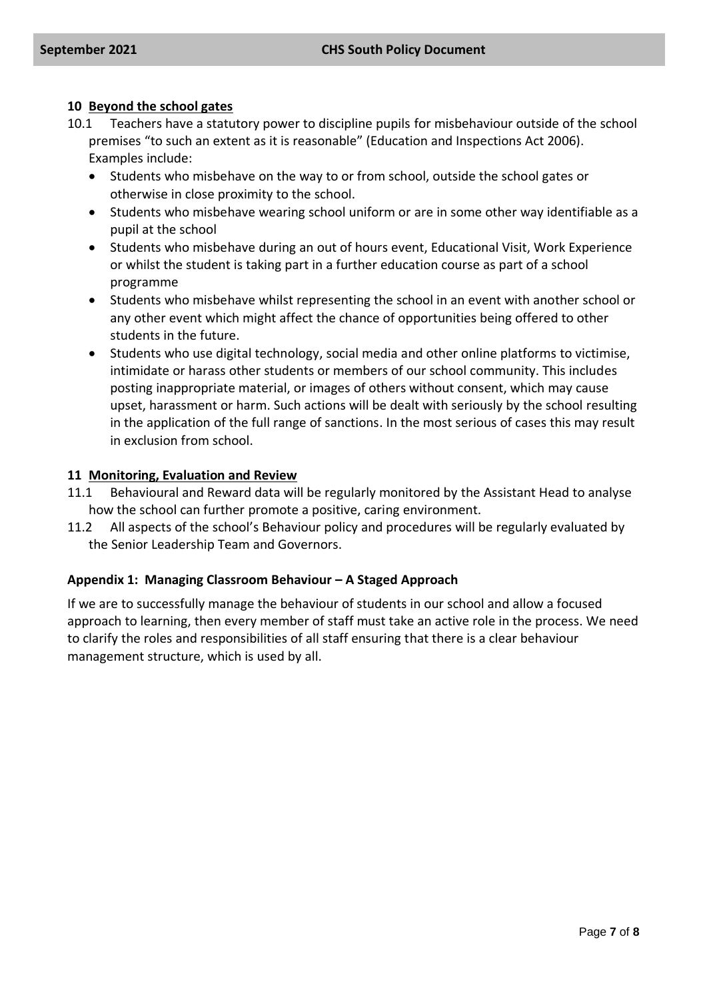#### **10 Beyond the school gates**

- 10.1 Teachers have a statutory power to discipline pupils for misbehaviour outside of the school premises "to such an extent as it is reasonable" (Education and Inspections Act 2006). Examples include:
	- Students who misbehave on the way to or from school, outside the school gates or otherwise in close proximity to the school.
	- Students who misbehave wearing school uniform or are in some other way identifiable as a pupil at the school
	- Students who misbehave during an out of hours event, Educational Visit, Work Experience or whilst the student is taking part in a further education course as part of a school programme
	- Students who misbehave whilst representing the school in an event with another school or any other event which might affect the chance of opportunities being offered to other students in the future.
	- Students who use digital technology, social media and other online platforms to victimise, intimidate or harass other students or members of our school community. This includes posting inappropriate material, or images of others without consent, which may cause upset, harassment or harm. Such actions will be dealt with seriously by the school resulting in the application of the full range of sanctions. In the most serious of cases this may result in exclusion from school.

#### **11 Monitoring, Evaluation and Review**

- 11.1 Behavioural and Reward data will be regularly monitored by the Assistant Head to analyse how the school can further promote a positive, caring environment.
- 11.2 All aspects of the school's Behaviour policy and procedures will be regularly evaluated by the Senior Leadership Team and Governors.

#### **Appendix 1: Managing Classroom Behaviour – A Staged Approach**

If we are to successfully manage the behaviour of students in our school and allow a focused approach to learning, then every member of staff must take an active role in the process. We need to clarify the roles and responsibilities of all staff ensuring that there is a clear behaviour management structure, which is used by all.